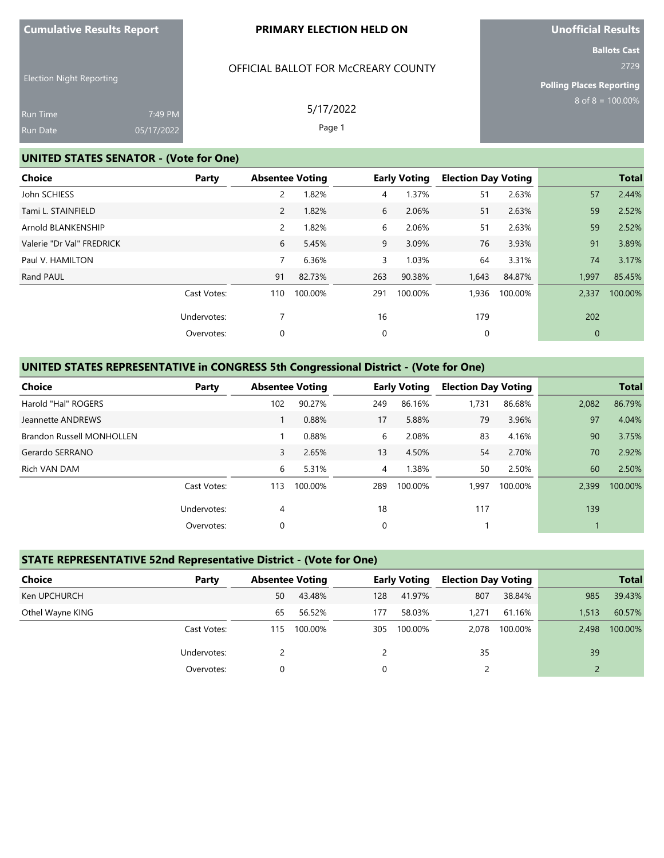#### **PRIMARY ELECTION HELD ON**

**Unofficial Results**

**Ballots Cast** 2729

Election Night Reporting

| <b>Run Time</b> | 7:49 PM    |  |
|-----------------|------------|--|
| <b>Run Date</b> | 05/17/2022 |  |

# OFFICIAL BALLOT FOR McCREARY COUNTY

Page 1

**Polling Places Reporting**  $8$  of  $8 = 100.00\%$ 

5/17/2022

### **UNITED STATES SENATOR - (Vote for One)**

| Choice                    | Party       | <b>Absentee Voting</b> |         |             | <b>Early Voting</b> | <b>Election Day Voting</b> |         |             | <b>Total</b> |
|---------------------------|-------------|------------------------|---------|-------------|---------------------|----------------------------|---------|-------------|--------------|
| John SCHIESS              |             | 2                      | 1.82%   | 4           | 1.37%               | 51                         | 2.63%   | 57          | 2.44%        |
| Tami L. STAINFIELD        |             | 2                      | 1.82%   | 6           | 2.06%               | 51                         | 2.63%   | 59          | 2.52%        |
| Arnold BLANKENSHIP        |             | 2                      | 1.82%   | 6           | 2.06%               | 51                         | 2.63%   | 59          | 2.52%        |
| Valerie "Dr Val" FREDRICK |             | 6                      | 5.45%   | 9           | 3.09%               | 76                         | 3.93%   | 91          | 3.89%        |
| Paul V. HAMILTON          |             | 7                      | 6.36%   | 3           | 1.03%               | 64                         | 3.31%   | 74          | 3.17%        |
| Rand PAUL                 |             | 91                     | 82.73%  | 263         | 90.38%              | 1,643                      | 84.87%  | 1,997       | 85.45%       |
|                           | Cast Votes: | 110                    | 100.00% | 291         | 100.00%             | 1,936                      | 100.00% | 2,337       | 100.00%      |
|                           | Undervotes: |                        |         | 16          |                     | 179                        |         | 202         |              |
|                           | Overvotes:  | 0                      |         | $\mathbf 0$ |                     | 0                          |         | $\mathbf 0$ |              |

# **UNITED STATES REPRESENTATIVE in CONGRESS 5th Congressional District - (Vote for One)**

| Choice                           | Party       |     | <b>Absentee Voting</b> |                | <b>Early Voting</b> | <b>Election Day Voting</b> |         |       | <b>Total</b> |
|----------------------------------|-------------|-----|------------------------|----------------|---------------------|----------------------------|---------|-------|--------------|
| Harold "Hal" ROGERS              |             | 102 | 90.27%                 | 249            | 86.16%              | 1,731                      | 86.68%  | 2,082 | 86.79%       |
| Jeannette ANDREWS                |             |     | 0.88%                  | 17             | 5.88%               | 79                         | 3.96%   | 97    | 4.04%        |
| <b>Brandon Russell MONHOLLEN</b> |             |     | 0.88%                  | 6              | 2.08%               | 83                         | 4.16%   | 90    | 3.75%        |
| Gerardo SERRANO                  |             | 3   | 2.65%                  | 13             | 4.50%               | 54                         | 2.70%   | 70    | 2.92%        |
| Rich VAN DAM                     |             | 6   | 5.31%                  | $\overline{4}$ | 1.38%               | 50                         | 2.50%   | 60    | 2.50%        |
|                                  | Cast Votes: | 113 | 100.00%                | 289            | 100.00%             | 1.997                      | 100.00% | 2.399 | 100.00%      |
|                                  | Undervotes: | 4   |                        | 18             |                     | 117                        |         | 139   |              |
|                                  | Overvotes:  | 0   |                        | 0              |                     |                            |         |       |              |

### **STATE REPRESENTATIVE 52nd Representative District - (Vote for One)**

| Choice           | Party       |          | <b>Absentee Voting</b> |     | <b>Early Voting</b> |       | <b>Election Day Voting</b> | <b>Total</b> |         |
|------------------|-------------|----------|------------------------|-----|---------------------|-------|----------------------------|--------------|---------|
| Ken UPCHURCH     |             | 50       | 43.48%                 | 128 | 41.97%              | 807   | 38.84%                     | 985          | 39.43%  |
| Othel Wayne KING |             | 65       | 56.52%                 | 177 | 58.03%              | 1.271 | 61.16%                     | 1.513        | 60.57%  |
|                  | Cast Votes: | 115      | 100.00%                | 305 | 100.00%             | 2.078 | 100.00%                    | 2.498        | 100.00% |
|                  | Undervotes: |          |                        |     |                     | 35    |                            | 39           |         |
|                  | Overvotes:  | $\Omega$ |                        | 0   |                     |       |                            |              |         |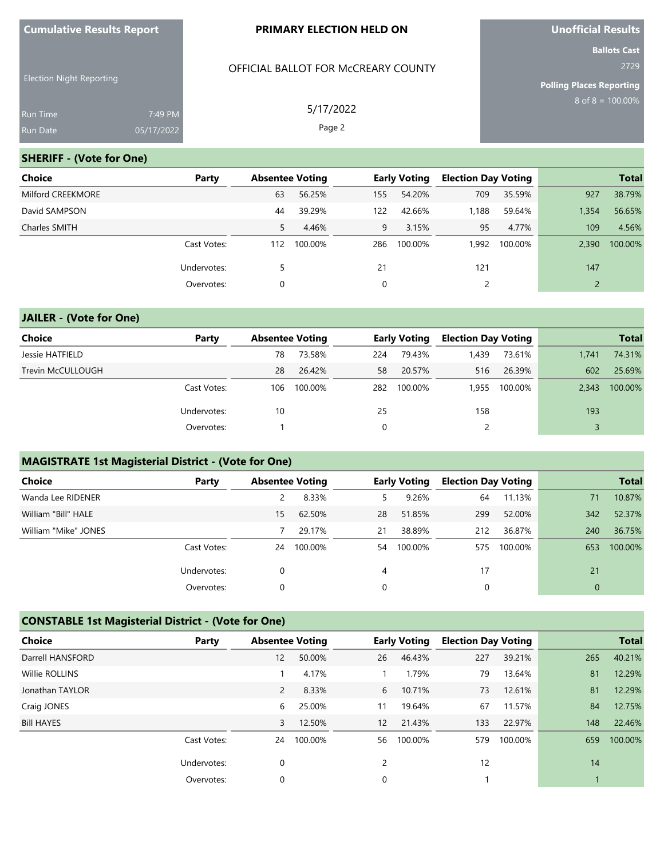### **PRIMARY ELECTION HELD ON**

OFFICIAL BALLOT FOR McCREARY COUNTY

5/17/2022 Page 2

**Unofficial Results**

**Ballots Cast** 2729

**Polling Places Reporting**

 $8$  of  $8 = 100.00\%$ 

| <b>Run Time</b> | 7:49 PM    |
|-----------------|------------|
| Run Date        | 05/17/2022 |

### **SHERIFF - (Vote for One)**

Election Night Reporting

| Choice<br>Party   |     | <b>Absentee Voting</b> |     | <b>Early Voting</b> | <b>Election Day Voting</b> |         |       | <b>Total</b> |
|-------------------|-----|------------------------|-----|---------------------|----------------------------|---------|-------|--------------|
| Milford CREEKMORE | 63  | 56.25%                 | 155 | 54.20%              | 709                        | 35.59%  | 927   | 38.79%       |
| David SAMPSON     | 44  | 39.29%                 | 122 | 42.66%              | 1,188                      | 59.64%  | 1,354 | 56.65%       |
| Charles SMITH     | 5   | 4.46%                  | 9   | 3.15%               | 95                         | 4.77%   | 109   | 4.56%        |
| Cast Votes:       | 112 | 100.00%                | 286 | 100.00%             | 1.992                      | 100.00% | 2.390 | 100.00%      |
| Undervotes:       | 5   |                        | 21  |                     | 121                        |         | 147   |              |
| Overvotes:        | 0   |                        | 0   |                     |                            |         |       |              |

### **JAILER - (Vote for One)**

| Choice            | Party       | <b>Absentee Voting</b> |         |     | <b>Early Voting</b> | <b>Election Day Voting</b> |         | <b>Total</b> |         |
|-------------------|-------------|------------------------|---------|-----|---------------------|----------------------------|---------|--------------|---------|
| Jessie HATFIELD   |             | 78                     | 73.58%  | 224 | 79.43%              | ,439                       | 73.61%  | 1,741        | 74.31%  |
| Trevin McCULLOUGH |             | 28                     | 26.42%  | 58  | 20.57%              | 516                        | 26.39%  | 602          | 25.69%  |
|                   | Cast Votes: | 106                    | 100.00% | 282 | 100.00%             | 1.955                      | 100.00% | 2.343        | 100.00% |
|                   | Undervotes: | 10                     |         | 25  |                     | 158                        |         | 193          |         |
|                   | Overvotes:  |                        |         |     |                     |                            |         |              |         |

### **MAGISTRATE 1st Magisterial District - (Vote for One)**

| <b>Choice</b>        | Party       | <b>Absentee Voting</b> |         |             | <b>Early Voting</b> | <b>Election Day Voting</b> |         |             | <b>Total</b> |
|----------------------|-------------|------------------------|---------|-------------|---------------------|----------------------------|---------|-------------|--------------|
| Wanda Lee RIDENER    |             |                        | 8.33%   | 5.          | 9.26%               | 64                         | 11.13%  | 71          | 10.87%       |
| William "Bill" HALE  |             | 15                     | 62.50%  | 28          | 51.85%              | 299                        | 52.00%  | 342         | 52.37%       |
| William "Mike" JONES |             |                        | 29.17%  | 21          | 38.89%              | 212                        | 36.87%  | 240         | 36.75%       |
|                      | Cast Votes: | 24                     | 100.00% | 54          | 100.00%             | 575                        | 100.00% | 653         | 100.00%      |
|                      | Undervotes: | $\Omega$               |         | 4           |                     | 17                         |         | 21          |              |
|                      | Overvotes:  | 0                      |         | $\mathbf 0$ |                     | 0                          |         | $\mathbf 0$ |              |

# **CONSTABLE 1st Magisterial District - (Vote for One)**

| Choice            | Party       | <b>Absentee Voting</b> |         |                   | <b>Early Voting</b> | <b>Election Day Voting</b> |         |     | <b>Total</b> |
|-------------------|-------------|------------------------|---------|-------------------|---------------------|----------------------------|---------|-----|--------------|
| Darrell HANSFORD  |             | 12                     | 50.00%  | 26                | 46.43%              | 227                        | 39.21%  | 265 | 40.21%       |
| Willie ROLLINS    |             |                        | 4.17%   |                   | 1.79%               | 79                         | 13.64%  | 81  | 12.29%       |
| Jonathan TAYLOR   |             | $\overline{2}$         | 8.33%   | 6                 | 10.71%              | 73                         | 12.61%  | 81  | 12.29%       |
| Craig JONES       |             | 6                      | 25.00%  | 11                | 19.64%              | 67                         | 11.57%  | 84  | 12.75%       |
| <b>Bill HAYES</b> |             | 3                      | 12.50%  | $12 \overline{ }$ | 21.43%              | 133                        | 22.97%  | 148 | 22.46%       |
|                   | Cast Votes: | 24                     | 100.00% | 56                | 100.00%             | 579                        | 100.00% | 659 | 100.00%      |
|                   | Undervotes: | $\mathbf 0$            |         | 2                 |                     | 12                         |         | 14  |              |
|                   | Overvotes:  | $\mathbf 0$            |         | 0                 |                     |                            |         |     |              |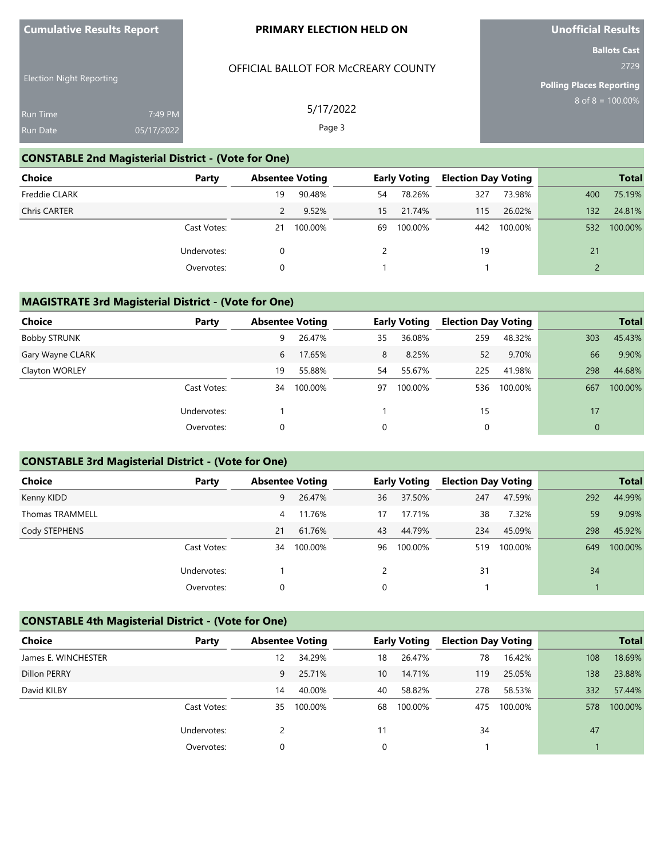### **PRIMARY ELECTION HELD ON**

**Unofficial Results**

**Polling Places Reporting**

 $8$  of  $8 = 100.00\%$ 

**Ballots Cast** 2729

# OFFICIAL BALLOT FOR McCREARY COUNTY

Election Night Reporting Run Time 7:49 PM 05/17/2022

5/17/2022 Page 3

### **CONSTABLE 2nd Magisterial District - (Vote for One)**

| Choice               | Party       | <b>Absentee Voting</b> |         | <b>Early Voting</b> |         | <b>Election Day Voting</b> |         |               | <b>Total</b> |
|----------------------|-------------|------------------------|---------|---------------------|---------|----------------------------|---------|---------------|--------------|
| <b>Freddie CLARK</b> |             | 19                     | 90.48%  | 54                  | 78.26%  | 327                        | 73.98%  | 400           | 75.19%       |
| <b>Chris CARTER</b>  |             |                        | 9.52%   | 15                  | 21.74%  | 115                        | 26.02%  | 132           | 24.81%       |
|                      | Cast Votes: | 21                     | 100.00% | 69                  | 100.00% | 442                        | 100.00% | 532           | 100.00%      |
|                      | Undervotes: |                        |         |                     |         | 19                         |         | 21            |              |
|                      | Overvotes:  | $\Omega$               |         |                     |         |                            |         | $\mathcal{P}$ |              |

### **MAGISTRATE 3rd Magisterial District - (Vote for One)**

| <b>Choice</b>       | Party       | <b>Absentee Voting</b> |         |             | <b>Early Voting</b> | <b>Election Day Voting</b> |         |              | <b>Total</b> |
|---------------------|-------------|------------------------|---------|-------------|---------------------|----------------------------|---------|--------------|--------------|
| <b>Bobby STRUNK</b> |             | 9                      | 26.47%  | 35          | 36.08%              | 259                        | 48.32%  | 303          | 45.43%       |
| Gary Wayne CLARK    |             | 6                      | 17.65%  | 8           | 8.25%               | 52                         | 9.70%   | 66           | 9.90%        |
| Clayton WORLEY      |             | 19                     | 55.88%  | 54          | 55.67%              | 225                        | 41.98%  | 298          | 44.68%       |
|                     | Cast Votes: | 34                     | 100.00% | 97          | 100.00%             | 536                        | 100.00% | 667          | 100.00%      |
|                     | Undervotes: |                        |         |             |                     | 15                         |         | 17           |              |
|                     | Overvotes:  | 0                      |         | $\mathbf 0$ |                     | 0                          |         | $\mathbf{0}$ |              |

## **CONSTABLE 3rd Magisterial District - (Vote for One)**

| <b>Choice</b>          | Party       |    | <b>Absentee Voting</b> |               | <b>Early Voting</b> | <b>Election Day Voting</b> |         |     | <b>Total</b> |
|------------------------|-------------|----|------------------------|---------------|---------------------|----------------------------|---------|-----|--------------|
| Kenny KIDD             |             | 9  | 26.47%                 | 36            | 37.50%              | 247                        | 47.59%  | 292 | 44.99%       |
| <b>Thomas TRAMMELL</b> |             | 4  | 11.76%                 | 17            | 17.71%              | 38                         | 7.32%   | 59  | 9.09%        |
| Cody STEPHENS          |             | 21 | 61.76%                 | 43            | 44.79%              | 234                        | 45.09%  | 298 | 45.92%       |
|                        | Cast Votes: | 34 | 100.00%                | 96            | 100.00%             | 519                        | 100.00% | 649 | 100.00%      |
|                        | Undervotes: |    |                        | $\mathcal{P}$ |                     | 31                         |         | 34  |              |
|                        | Overvotes:  | 0  |                        | 0             |                     |                            |         |     |              |

# **CONSTABLE 4th Magisterial District - (Vote for One)**

| Choice              | Party       |    | <b>Absentee Voting</b> |    | <b>Early Voting</b> | <b>Election Day Voting</b> |         |     | <b>Total</b> |
|---------------------|-------------|----|------------------------|----|---------------------|----------------------------|---------|-----|--------------|
| James E. WINCHESTER |             | 12 | 34.29%                 | 18 | 26.47%              | 78                         | 16.42%  | 108 | 18.69%       |
| <b>Dillon PERRY</b> |             | 9  | 25.71%                 | 10 | 14.71%              | 119                        | 25.05%  | 138 | 23.88%       |
| David KILBY         |             | 14 | 40.00%                 | 40 | 58.82%              | 278                        | 58.53%  | 332 | 57.44%       |
|                     | Cast Votes: | 35 | 100.00%                | 68 | 100.00%             | 475                        | 100.00% | 578 | 100.00%      |
|                     | Undervotes: |    |                        | 11 |                     | 34                         |         | 47  |              |
|                     | Overvotes:  |    |                        | 0  |                     |                            |         |     |              |